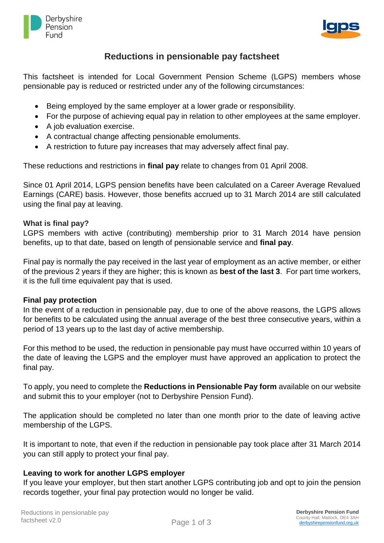



# **Reductions in pensionable pay factsheet**

This factsheet is intended for Local Government Pension Scheme (LGPS) members whose pensionable pay is reduced or restricted under any of the following circumstances:

- Being employed by the same employer at a lower grade or responsibility.
- For the purpose of achieving equal pay in relation to other employees at the same employer.
- A job evaluation exercise.
- A contractual change affecting pensionable emoluments.
- A restriction to future pay increases that may adversely affect final pay.

These reductions and restrictions in **final pay** relate to changes from 01 April 2008.

Since 01 April 2014, LGPS pension benefits have been calculated on a Career Average Revalued Earnings (CARE) basis. However, those benefits accrued up to 31 March 2014 are still calculated using the final pay at leaving.

## **What is final pay?**

LGPS members with active (contributing) membership prior to 31 March 2014 have pension benefits, up to that date, based on length of pensionable service and **final pay**.

Final pay is normally the pay received in the last year of employment as an active member, or either of the previous 2 years if they are higher; this is known as **best of the last 3**. For part time workers, it is the full time equivalent pay that is used.

## **Final pay protection**

In the event of a reduction in pensionable pay, due to one of the above reasons, the LGPS allows for benefits to be calculated using the annual average of the best three consecutive years, within a period of 13 years up to the last day of active membership.

For this method to be used, the reduction in pensionable pay must have occurred within 10 years of the date of leaving the LGPS and the employer must have approved an application to protect the final pay.

To apply, you need to complete the **Reductions in Pensionable Pay form** available on our website and submit this to your employer (not to Derbyshire Pension Fund).

The application should be completed no later than one month prior to the date of leaving active membership of the LGPS.

It is important to note, that even if the reduction in pensionable pay took place after 31 March 2014 you can still apply to protect your final pay.

## **Leaving to work for another LGPS employer**

If you leave your employer, but then start another LGPS contributing job and opt to join the pension records together, your final pay protection would no longer be valid.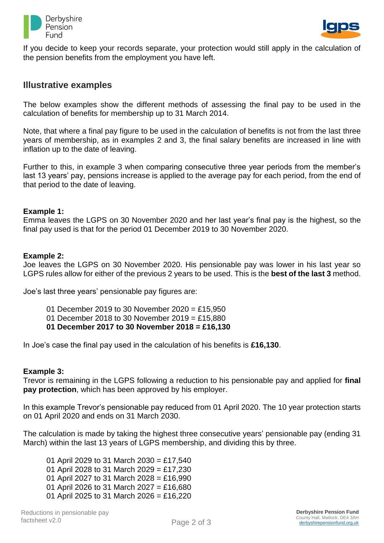



If you decide to keep your records separate, your protection would still apply in the calculation of the pension benefits from the employment you have left.

## **Illustrative examples**

The below examples show the different methods of assessing the final pay to be used in the calculation of benefits for membership up to 31 March 2014.

Note, that where a final pay figure to be used in the calculation of benefits is not from the last three years of membership, as in examples 2 and 3, the final salary benefits are increased in line with inflation up to the date of leaving.

Further to this, in example 3 when comparing consecutive three year periods from the member's last 13 years' pay, pensions increase is applied to the average pay for each period, from the end of that period to the date of leaving.

#### **Example 1:**

Emma leaves the LGPS on 30 November 2020 and her last year's final pay is the highest, so the final pay used is that for the period 01 December 2019 to 30 November 2020.

#### **Example 2:**

Joe leaves the LGPS on 30 November 2020. His pensionable pay was lower in his last year so LGPS rules allow for either of the previous 2 years to be used. This is the **best of the last 3** method.

Joe's last three years' pensionable pay figures are:

- 01 December 2019 to 30 November 2020 = £15,950
- 01 December 2018 to 30 November 2019 = £15,880
- **01 December 2017 to 30 November 2018 = £16,130**

In Joe's case the final pay used in the calculation of his benefits is **£16,130**.

#### **Example 3:**

Trevor is remaining in the LGPS following a reduction to his pensionable pay and applied for **final pay protection**, which has been approved by his employer.

In this example Trevor's pensionable pay reduced from 01 April 2020. The 10 year protection starts on 01 April 2020 and ends on 31 March 2030.

The calculation is made by taking the highest three consecutive years' pensionable pay (ending 31 March) within the last 13 years of LGPS membership, and dividing this by three.

01 April 2029 to 31 March 2030 = £17,540 01 April 2028 to 31 March 2029 = £17,230 01 April 2027 to 31 March 2028 = £16,990 01 April 2026 to 31 March 2027 = £16,680 01 April 2025 to 31 March 2026 = £16,220